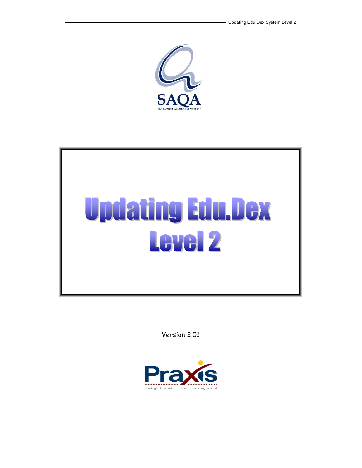



Version 2.01

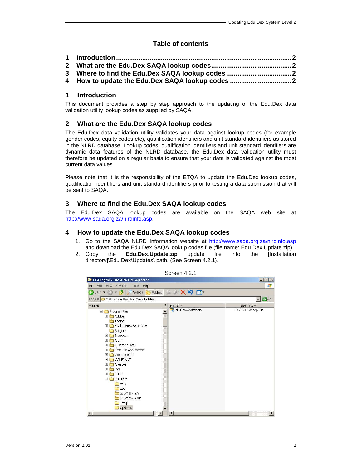# **Table of contents**

| 4 How to update the Edu.Dex SAQA lookup codes |  |
|-----------------------------------------------|--|
|                                               |  |

### **1 Introduction**

This document provides a step by step approach to the updating of the Edu.Dex data validation utility lookup codes as supplied by SAQA.

## **2 What are the Edu.Dex SAQA lookup codes**

The Edu.Dex data validation utility validates your data against lookup codes (for example gender codes, equity codes etc), qualification identifiers and unit standard identifiers as stored in the NLRD database. Lookup codes, qualification identifiers and unit standard identifiers are dynamic data features of the NLRD database, the Edu.Dex data validation utility must therefore be updated on a regular basis to ensure that your data is validated against the most current data values.

Please note that it is the responsibility of the ETQA to update the Edu.Dex lookup codes, qualification identifiers and unit standard identifiers prior to testing a data submission that will be sent to SAQA.

### **3 Where to find the Edu.Dex SAQA lookup codes**

The Edu.Dex SAQA lookup codes are available on the SAQA web site at http://www.saqa.org.za/nlrdinfo.asp.

### **4 How to update the Edu.Dex SAQA lookup codes**

- 1. Go to the SAQA NLRD Information website at http://www.saqa.org.za/nlrdinfo.asp and download the Edu.Dex SAQA lookup codes file (file name: Edu.Dex.Update.zip).
- 2. Copy the **Edu.Dex.Update.zip** update file into the [Installation directory]\Edu.Dex\Updates\ path. (See Screen 4.2.1).



Screen 4.2.1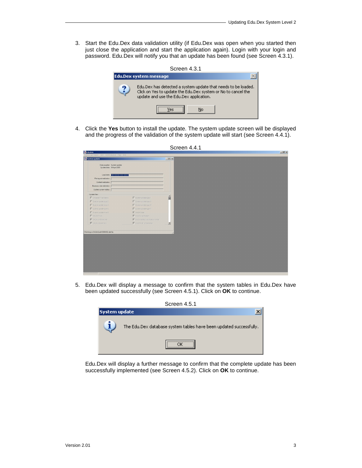3. Start the Edu.Dex data validation utility (if Edu.Dex was open when you started then just close the application and start the application again). Login with your login and password. Edu.Dex will notify you that an update has been found (see Screen 4.3.1).



4. Click the **Yes** button to install the update. The system update screen will be displayed and the progress of the validation of the system update will start (see Screen 4.4.1).

5. Edu.Dex will display a message to confirm that the system tables in Edu.Dex have been updated successfully (see Screen 4.5.1). Click on **OK** to continue.



Edu.Dex will display a further message to confirm that the complete update has been successfully implemented (see Screen 4.5.2). Click on **OK** to continue.